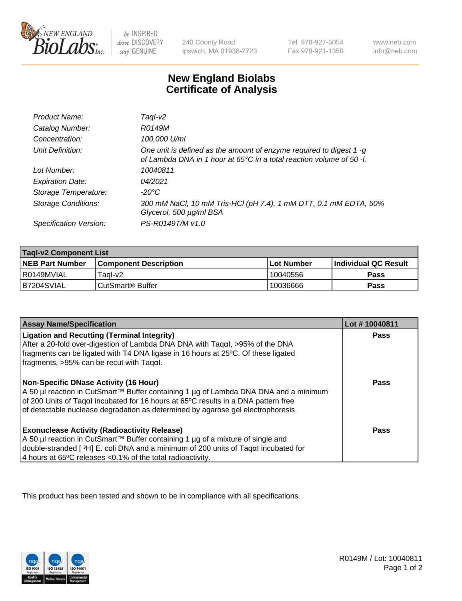

be INSPIRED drive DISCOVERY stay GENUINE

240 County Road Ipswich, MA 01938-2723 Tel 978-927-5054 Fax 978-921-1350 www.neb.com info@neb.com

## **New England Biolabs Certificate of Analysis**

| Product Name:              | Tagl-v2                                                                                                                                                   |
|----------------------------|-----------------------------------------------------------------------------------------------------------------------------------------------------------|
| Catalog Number:            | R0149M                                                                                                                                                    |
| Concentration:             | 100,000 U/ml                                                                                                                                              |
| Unit Definition:           | One unit is defined as the amount of enzyme required to digest 1 $\cdot$ g<br>of Lambda DNA in 1 hour at 65°C in a total reaction volume of 50 $\cdot$ l. |
| Lot Number:                | 10040811                                                                                                                                                  |
| <b>Expiration Date:</b>    | 04/2021                                                                                                                                                   |
| Storage Temperature:       | -20°C                                                                                                                                                     |
| <b>Storage Conditions:</b> | 300 mM NaCl, 10 mM Tris-HCl (pH 7.4), 1 mM DTT, 0.1 mM EDTA, 50%<br>Glycerol, 500 µg/ml BSA                                                               |
| Specification Version:     | PS-R0149T/M v1.0                                                                                                                                          |

| <b>Tagl-v2 Component List</b> |                              |            |                             |  |
|-------------------------------|------------------------------|------------|-----------------------------|--|
| <b>NEB Part Number</b>        | <b>Component Description</b> | Lot Number | <b>Individual QC Result</b> |  |
| l R0149MVIAL                  | Taal-v2                      | 10040556   | Pass                        |  |
| IB7204SVIAL                   | ⊦CutSmart® Buffer            | 10036666   | Pass                        |  |

| <b>Assay Name/Specification</b>                                                                                                                                            | Lot #10040811 |
|----------------------------------------------------------------------------------------------------------------------------------------------------------------------------|---------------|
| <b>Ligation and Recutting (Terminal Integrity)</b><br>After a 20-fold over-digestion of Lambda DNA DNA with Tagal, $>95\%$ of the DNA                                      | <b>Pass</b>   |
| fragments can be ligated with T4 DNA ligase in 16 hours at 25°C. Of these ligated                                                                                          |               |
| fragments, >95% can be recut with Tagαl.                                                                                                                                   |               |
| <b>Non-Specific DNase Activity (16 Hour)</b>                                                                                                                               | <b>Pass</b>   |
| A 50 µl reaction in CutSmart™ Buffer containing 1 µg of Lambda DNA DNA and a minimum<br>of 200 Units of Tagal incubated for 16 hours at 65°C results in a DNA pattern free |               |
| of detectable nuclease degradation as determined by agarose gel electrophoresis.                                                                                           |               |
| <b>Exonuclease Activity (Radioactivity Release)</b>                                                                                                                        | <b>Pass</b>   |
| A 50 µl reaction in CutSmart™ Buffer containing 1 µg of a mixture of single and                                                                                            |               |
| double-stranded [3H] E. coli DNA and a minimum of 200 units of Taqal incubated for                                                                                         |               |
| 4 hours at 65°C releases < 0.1% of the total radioactivity.                                                                                                                |               |

This product has been tested and shown to be in compliance with all specifications.